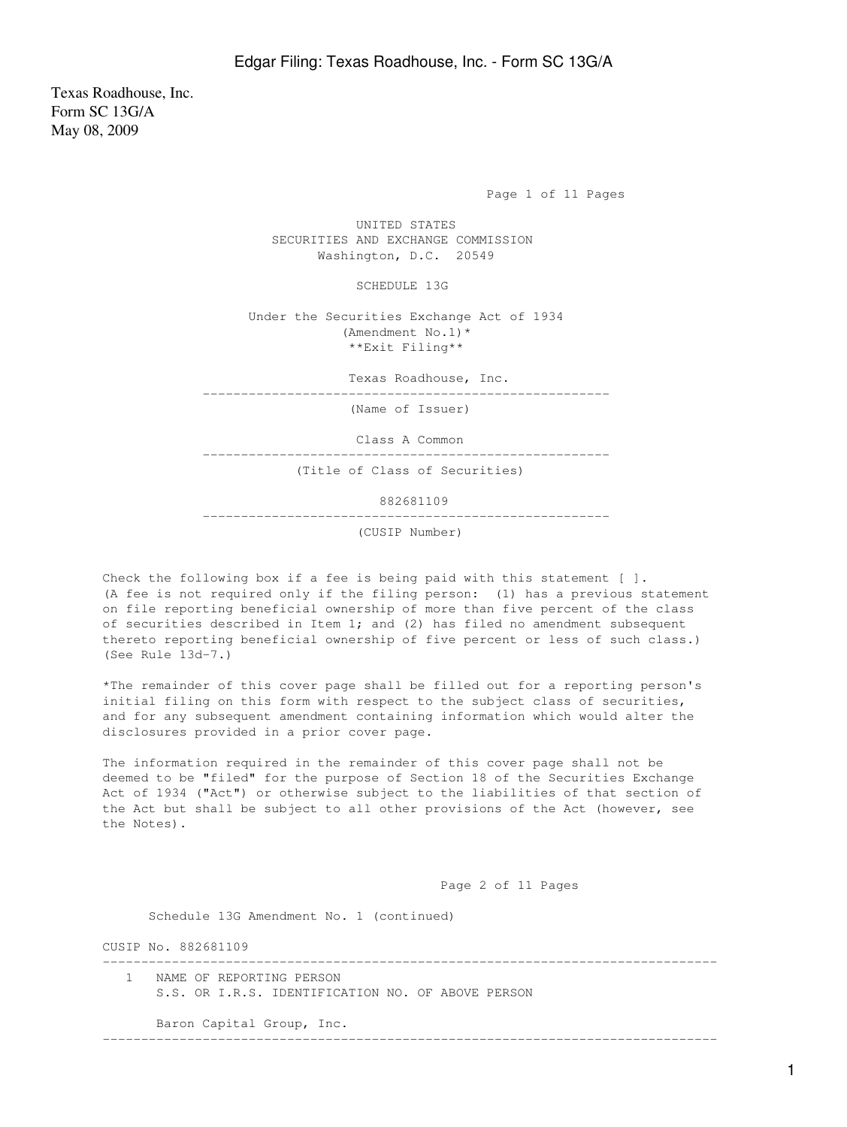Texas Roadhouse, Inc. Form SC 13G/A May 08, 2009

Page 1 of 11 Pages

 UNITED STATES SECURITIES AND EXCHANGE COMMISSION Washington, D.C. 20549

SCHEDULE 13G

 Under the Securities Exchange Act of 1934 (Amendment No.1)\* \*\*Exit Filing\*\*

Texas Roadhouse, Inc.

-----------------------------------------------------

(Name of Issuer)

Class A Common

-----------------------------------------------------

(Title of Class of Securities)

882681109

-----------------------------------------------------

(CUSIP Number)

Check the following box if a fee is being paid with this statement [ ]. (A fee is not required only if the filing person: (1) has a previous statement on file reporting beneficial ownership of more than five percent of the class of securities described in Item 1; and (2) has filed no amendment subsequent thereto reporting beneficial ownership of five percent or less of such class.) (See Rule 13d-7.)

\*The remainder of this cover page shall be filled out for a reporting person's initial filing on this form with respect to the subject class of securities, and for any subsequent amendment containing information which would alter the disclosures provided in a prior cover page.

The information required in the remainder of this cover page shall not be deemed to be "filed" for the purpose of Section 18 of the Securities Exchange Act of 1934 ("Act") or otherwise subject to the liabilities of that section of the Act but shall be subject to all other provisions of the Act (however, see the Notes).

Page 2 of 11 Pages

--------------------------------------------------------------------------------

Schedule 13G Amendment No. 1 (continued)

CUSIP No. 882681109

 1 NAME OF REPORTING PERSON S.S. OR I.R.S. IDENTIFICATION NO. OF ABOVE PERSON

Baron Capital Group, Inc.

--------------------------------------------------------------------------------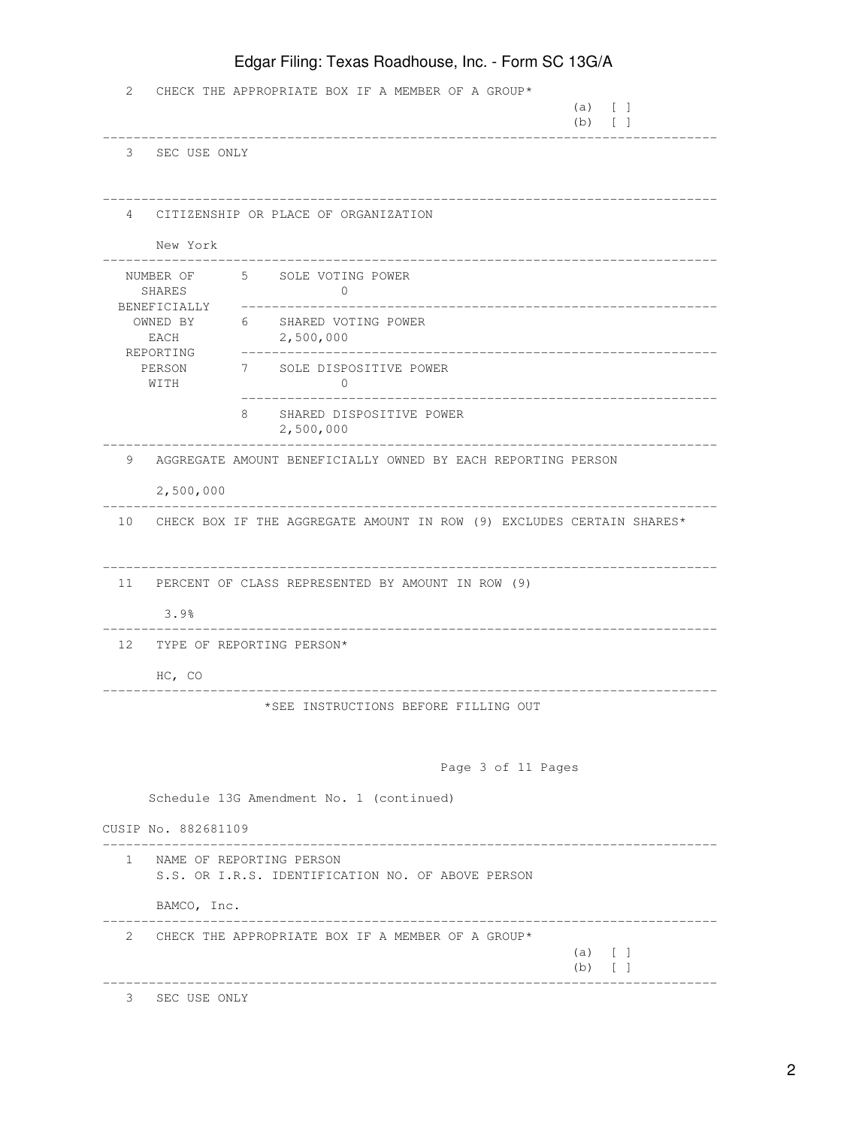|                        | Edgar Filing: Texas Roadhouse, Inc. - Form SC 13G/A |                                                                               |                                                                          |  |  |
|------------------------|-----------------------------------------------------|-------------------------------------------------------------------------------|--------------------------------------------------------------------------|--|--|
| 2                      |                                                     | CHECK THE APPROPRIATE BOX IF A MEMBER OF A GROUP*                             | $(a)$ [ ]<br>$(b)$ [ ]                                                   |  |  |
|                        | 3 SEC USE ONLY                                      |                                                                               |                                                                          |  |  |
| 4                      | New York                                            | CITIZENSHIP OR PLACE OF ORGANIZATION                                          |                                                                          |  |  |
| SHARES<br>BENEFICIALLY |                                                     | NUMBER OF 5 SOLE VOTING POWER<br>$\Omega$                                     |                                                                          |  |  |
|                        | EACH<br>REPORTING                                   | OWNED BY 6 SHARED VOTING POWER<br>2,500,000                                   | ___________________________                                              |  |  |
|                        | PERSON<br>WITH                                      | 7 SOLE DISPOSITIVE POWER<br>$\mathbf{0}$                                      |                                                                          |  |  |
|                        |                                                     | 8<br>SHARED DISPOSITIVE POWER<br>2,500,000                                    |                                                                          |  |  |
| 9                      | 2,500,000                                           | AGGREGATE AMOUNT BENEFICIALLY OWNED BY EACH REPORTING PERSON                  |                                                                          |  |  |
|                        |                                                     |                                                                               | 10 CHECK BOX IF THE AGGREGATE AMOUNT IN ROW (9) EXCLUDES CERTAIN SHARES* |  |  |
| 11                     | 3.9%                                                | PERCENT OF CLASS REPRESENTED BY AMOUNT IN ROW (9)                             |                                                                          |  |  |
|                        |                                                     | 12 TYPE OF REPORTING PERSON*                                                  |                                                                          |  |  |
|                        | HC, CO                                              | *SEE INSTRUCTIONS BEFORE FILLING OUT                                          |                                                                          |  |  |
|                        |                                                     |                                                                               | Page 3 of 11 Pages                                                       |  |  |
|                        |                                                     | Schedule 13G Amendment No. 1 (continued)                                      |                                                                          |  |  |
|                        | CUSIP No. 882681109                                 |                                                                               |                                                                          |  |  |
| $\mathbf{1}$           |                                                     | NAME OF REPORTING PERSON<br>S.S. OR I.R.S. IDENTIFICATION NO. OF ABOVE PERSON |                                                                          |  |  |
|                        | BAMCO, Inc.                                         |                                                                               |                                                                          |  |  |
| 2                      |                                                     | CHECK THE APPROPRIATE BOX IF A MEMBER OF A GROUP*                             | $(a) \qquad \qquad$<br>$(b)$ [ ]                                         |  |  |
|                        |                                                     |                                                                               |                                                                          |  |  |

3 SEC USE ONLY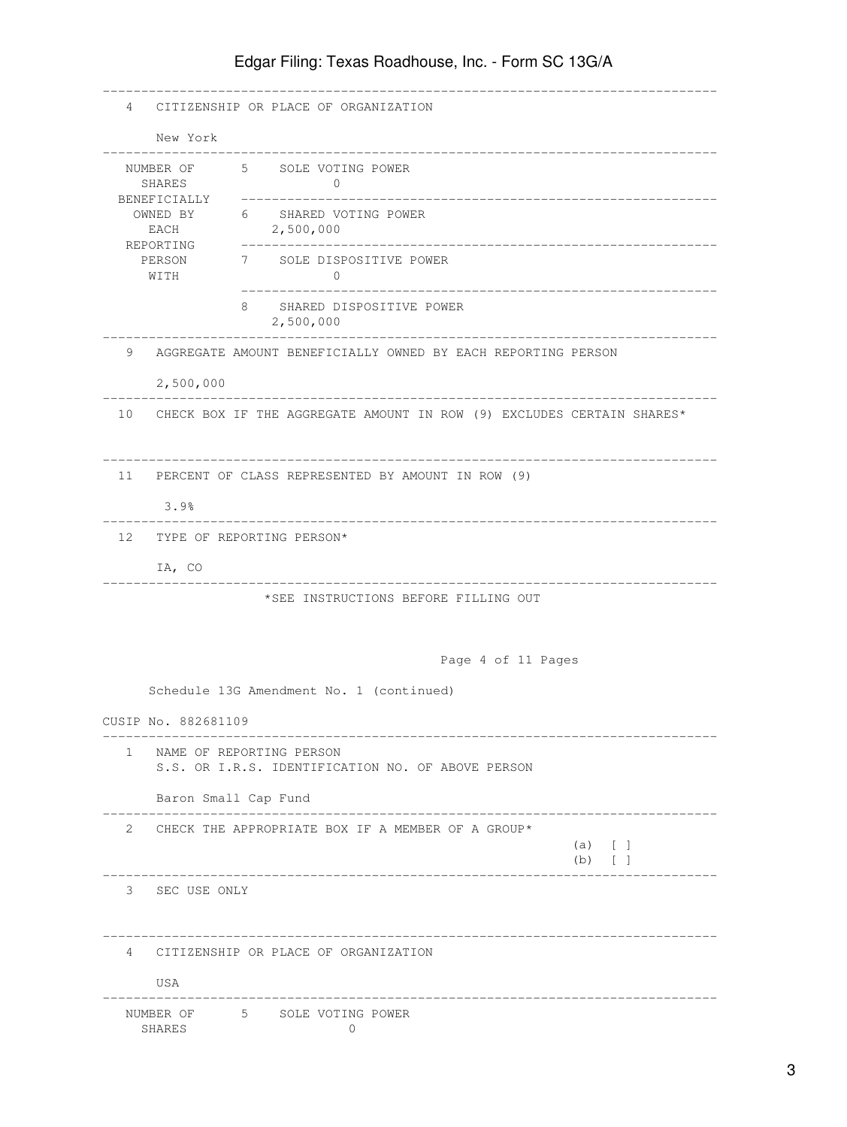|                                               | 4 CITIZENSHIP OR PLACE OF ORGANIZATION                                   |
|-----------------------------------------------|--------------------------------------------------------------------------|
| New York                                      |                                                                          |
| SHARES                                        | NUMBER OF 5 SOLE VOTING POWER<br>$\Omega$                                |
| BENEFICIALLY<br>OWNED BY<br>EACH<br>REPORTING | 6 SHARED VOTING POWER<br>2,500,000                                       |
| WITH                                          | PERSON 7 SOLE DISPOSITIVE POWER<br>$\mathbf{0}$                          |
|                                               | SHARED DISPOSITIVE POWER<br>8.<br>2,500,000                              |
| 2,500,000                                     | 9 AGGREGATE AMOUNT BENEFICIALLY OWNED BY EACH REPORTING PERSON           |
|                                               | 10 CHECK BOX IF THE AGGREGATE AMOUNT IN ROW (9) EXCLUDES CERTAIN SHARES* |
|                                               | 11 PERCENT OF CLASS REPRESENTED BY AMOUNT IN ROW (9)                     |
| 3.9%                                          |                                                                          |
|                                               | 12 TYPE OF REPORTING PERSON*                                             |
| IA, CO                                        |                                                                          |
|                                               | *SEE INSTRUCTIONS BEFORE FILLING OUT                                     |
|                                               |                                                                          |
|                                               | Page 4 of 11 Pages                                                       |
|                                               | Schedule 13G Amendment No. 1 (continued)                                 |
| CUSIP No. 882681109                           |                                                                          |
| $\mathbf{1}$                                  | NAME OF REPORTING PERSON                                                 |
|                                               | S.S. OR I.R.S. IDENTIFICATION NO. OF ABOVE PERSON                        |
|                                               | Baron Small Cap Fund                                                     |
| 2                                             | CHECK THE APPROPRIATE BOX IF A MEMBER OF A GROUP*                        |
|                                               | $(a)$ [ ]<br>$(b)$ [ ]                                                   |
| 3 SEC USE ONLY                                |                                                                          |
| $\overline{4}$                                | CITIZENSHIP OR PLACE OF ORGANIZATION                                     |
| USA                                           |                                                                          |
| SHARES                                        | NUMBER OF 5 SOLE VOTING POWER<br>$\mathbf{0}$                            |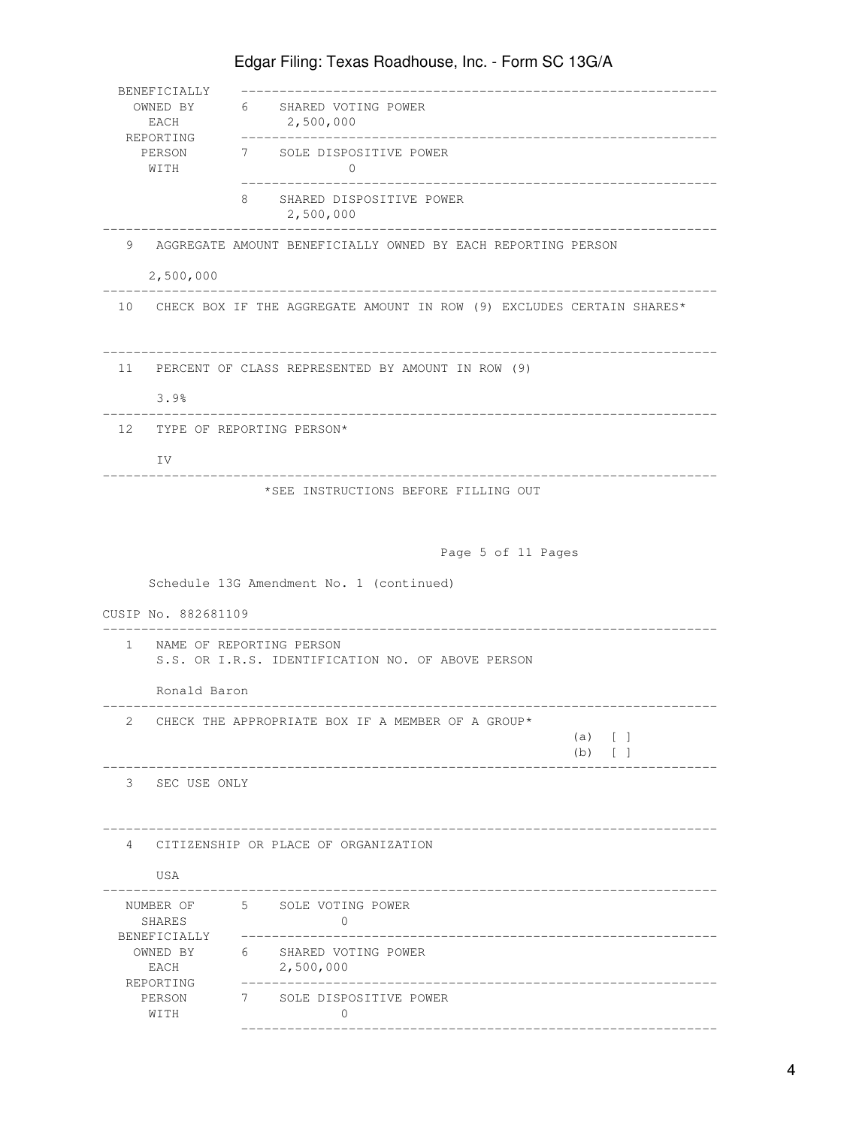| BENEFICIALLY<br>EACH<br>REPORTING |                                                                               | OWNED BY 6 SHARED VOTING POWER<br>2,500,000                                                                |  |  |
|-----------------------------------|-------------------------------------------------------------------------------|------------------------------------------------------------------------------------------------------------|--|--|
|                                   | PERSON<br>WITH                                                                | 7 SOLE DISPOSITIVE POWER<br>0                                                                              |  |  |
|                                   |                                                                               | 8.<br>SHARED DISPOSITIVE POWER<br>2,500,000                                                                |  |  |
| 9                                 | 2,500,000                                                                     | AGGREGATE AMOUNT BENEFICIALLY OWNED BY EACH REPORTING PERSON                                               |  |  |
|                                   |                                                                               | ______________________________<br>10 CHECK BOX IF THE AGGREGATE AMOUNT IN ROW (9) EXCLUDES CERTAIN SHARES* |  |  |
|                                   | 3.9%                                                                          | 11 PERCENT OF CLASS REPRESENTED BY AMOUNT IN ROW (9)                                                       |  |  |
|                                   | IV                                                                            | 12 TYPE OF REPORTING PERSON*                                                                               |  |  |
|                                   |                                                                               | Page 5 of 11 Pages                                                                                         |  |  |
|                                   | CUSIP No. 882681109                                                           | Schedule 13G Amendment No. 1 (continued)                                                                   |  |  |
| $\mathbf{1}$                      | NAME OF REPORTING PERSON<br>S.S. OR I.R.S. IDENTIFICATION NO. OF ABOVE PERSON |                                                                                                            |  |  |
|                                   |                                                                               |                                                                                                            |  |  |
|                                   | Ronald Baron                                                                  |                                                                                                            |  |  |
| $\mathbf{2}$                      |                                                                               | CHECK THE APPROPRIATE BOX IF A MEMBER OF A GROUP*<br>(a) [ ]<br>$(b)$ [ ]                                  |  |  |
|                                   | 3 SEC USE ONLY                                                                |                                                                                                            |  |  |
| $4\overline{ }$                   |                                                                               | CITIZENSHIP OR PLACE OF ORGANIZATION                                                                       |  |  |
|                                   | USA<br>NUMBER OF<br>SHARES                                                    | 5 SOLE VOTING POWER<br>$\Omega$                                                                            |  |  |
|                                   | BENEFICIALLY<br>OWNED BY<br>EACH                                              | SHARED VOTING POWER<br>6<br>2,500,000<br>_____________________                                             |  |  |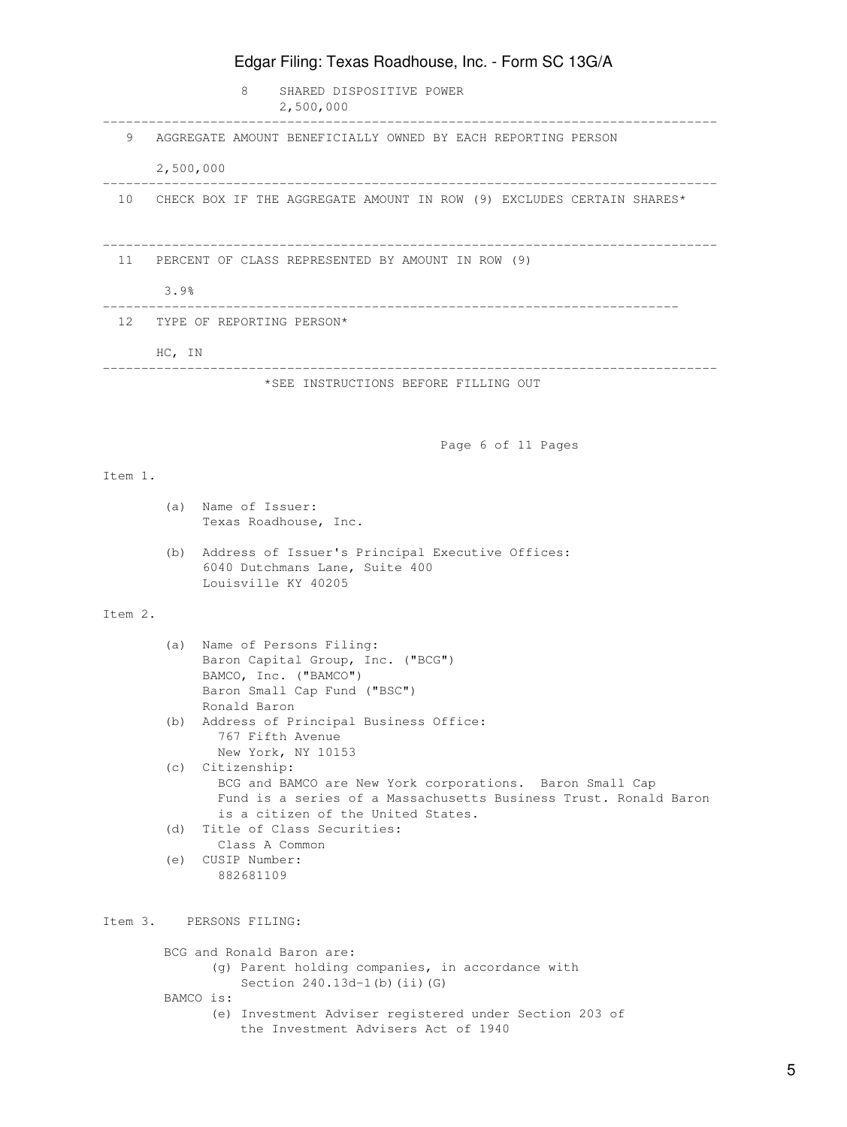|         |                              | Edgar Filing: Texas Roadhouse, Inc. - Form SC 13G/A                                                                                                                                    |  |
|---------|------------------------------|----------------------------------------------------------------------------------------------------------------------------------------------------------------------------------------|--|
|         |                              | 8<br>SHARED DISPOSITIVE POWER<br>2,500,000                                                                                                                                             |  |
| 9       |                              | AGGREGATE AMOUNT BENEFICIALLY OWNED BY EACH REPORTING PERSON                                                                                                                           |  |
|         | 2,500,000                    |                                                                                                                                                                                        |  |
|         |                              | 10 CHECK BOX IF THE AGGREGATE AMOUNT IN ROW (9) EXCLUDES CERTAIN SHARES*                                                                                                               |  |
| 11      | 3.9%                         | PERCENT OF CLASS REPRESENTED BY AMOUNT IN ROW (9)                                                                                                                                      |  |
|         | 12 TYPE OF REPORTING PERSON* |                                                                                                                                                                                        |  |
|         | HC, IN                       |                                                                                                                                                                                        |  |
|         |                              | *SEE INSTRUCTIONS BEFORE FILLING OUT                                                                                                                                                   |  |
|         |                              | Page 6 of 11 Pages                                                                                                                                                                     |  |
| Item 1. |                              |                                                                                                                                                                                        |  |
|         | (a)                          | Name of Issuer:<br>Texas Roadhouse, Inc.                                                                                                                                               |  |
|         | (b)                          | Address of Issuer's Principal Executive Offices:<br>6040 Dutchmans Lane, Suite 400<br>Louisville KY 40205                                                                              |  |
| Item 2. |                              |                                                                                                                                                                                        |  |
|         |                              | (a) Name of Persons Filing:<br>Baron Capital Group, Inc. ("BCG")<br>BAMCO, Inc. ("BAMCO")<br>Baron Small Cap Fund ("BSC")                                                              |  |
|         |                              | Ronald Baron<br>(b) Address of Principal Business Office:<br>767 Fifth Avenue<br>New York, NY 10153                                                                                    |  |
|         |                              | (c) Citizenship:<br>BCG and BAMCO are New York corporations. Baron Small Cap<br>Fund is a series of a Massachusetts Business Trust. Ronald Baron<br>is a citizen of the United States. |  |
|         |                              | (d) Title of Class Securities:<br>Class A Common                                                                                                                                       |  |
|         | (e)                          | CUSIP Number:<br>882681109                                                                                                                                                             |  |
|         |                              | Item 3. PERSONS FILING:                                                                                                                                                                |  |
|         |                              | BCG and Ronald Baron are:<br>(g) Parent holding companies, in accordance with<br>Section $240.13d-1$ (b) (ii) (G)                                                                      |  |
|         |                              | BAMCO is:<br>(e) Investment Adviser registered under Section 203 of<br>the Investment Advisers Act of 1940                                                                             |  |

## 5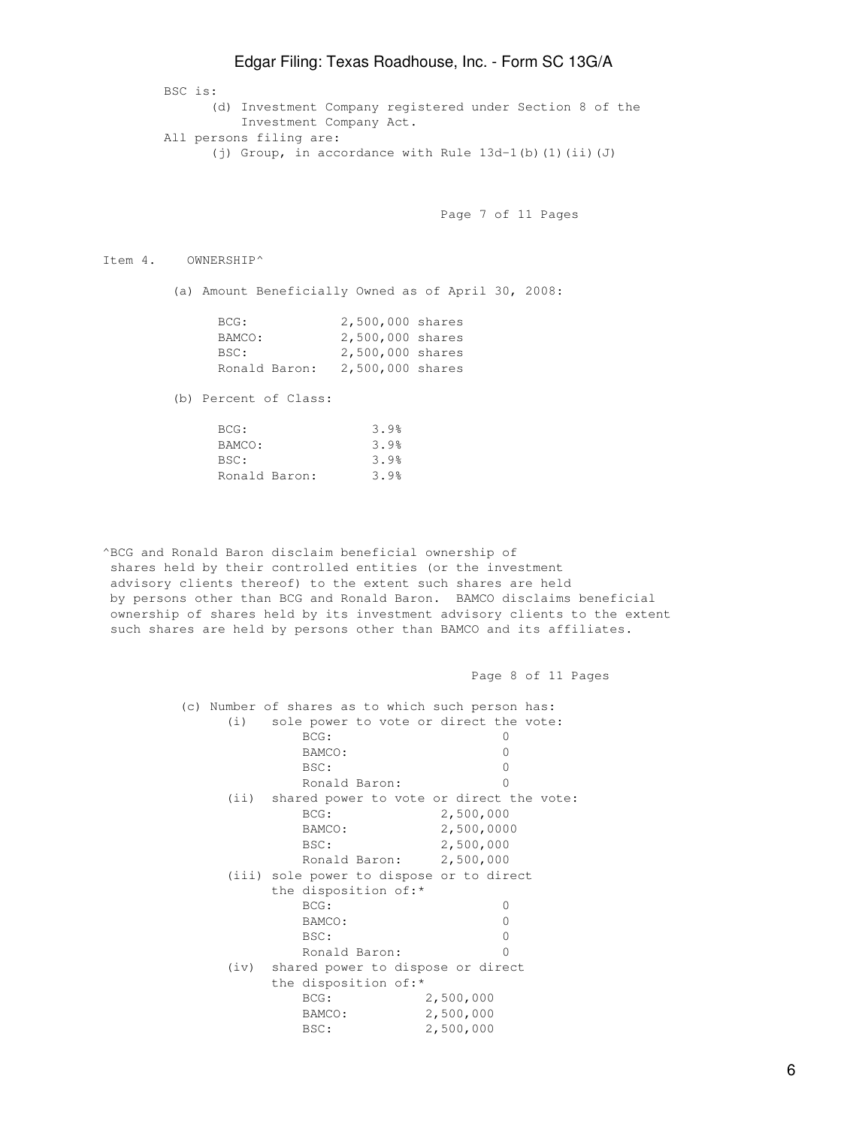BSC is: (d) Investment Company registered under Section 8 of the Investment Company Act. All persons filing are: (j) Group, in accordance with Rule 13d-1(b)(1)(ii)(J)

Page 7 of 11 Pages

Page 8 of 11 Pages

Item 4. OWNERSHIP^

(a) Amount Beneficially Owned as of April 30, 2008:

| BCG:          | 2,500,000 shares |  |
|---------------|------------------|--|
| BAMCO:        | 2,500,000 shares |  |
| BSC:          | 2,500,000 shares |  |
| Ronald Baron: | 2,500,000 shares |  |

(b) Percent of Class:

| BCG:          | 3.9% |
|---------------|------|
| BAMCO:        | 3.9% |
| BSC:          | 3.9% |
| Ronald Baron: | 3.9% |

^BCG and Ronald Baron disclaim beneficial ownership of shares held by their controlled entities (or the investment advisory clients thereof) to the extent such shares are held by persons other than BCG and Ronald Baron. BAMCO disclaims beneficial ownership of shares held by its investment advisory clients to the extent such shares are held by persons other than BAMCO and its affiliates.

 (c) Number of shares as to which such person has: (i) sole power to vote or direct the vote: BCG: 0 BAMCO: 0 BSC: 0 Ronald Baron: 0 (ii) shared power to vote or direct the vote: BCG: 2,500,000 BAMCO: 2,500,0000<br>
2,500,0000<br>
2,500,000 BSC: 2,500,000 Ronald Baron: 2,500,000 (iii) sole power to dispose or to direct the disposition of:\* BCG: 0 BAMCO: 0 BSC: 0 Ronald Baron: 0 (iv) shared power to dispose or direct the disposition of:\* BCG: 2,500,000 BAMCO: 2,500,000 BSC: 2,500,000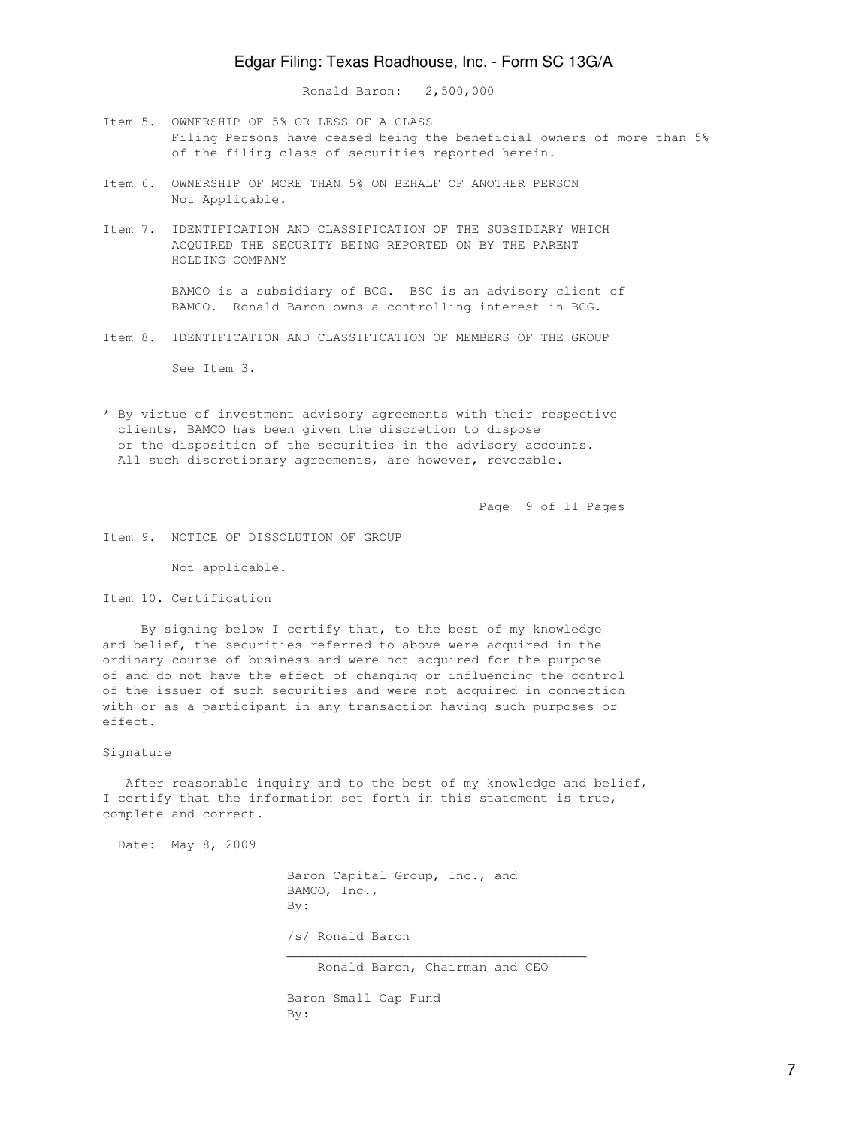Ronald Baron: 2,500,000

- Item 5. OWNERSHIP OF 5% OR LESS OF A CLASS Filing Persons have ceased being the beneficial owners of more than 5% of the filing class of securities reported herein.
- Item 6. OWNERSHIP OF MORE THAN 5% ON BEHALF OF ANOTHER PERSON Not Applicable.
- Item 7. IDENTIFICATION AND CLASSIFICATION OF THE SUBSIDIARY WHICH ACQUIRED THE SECURITY BEING REPORTED ON BY THE PARENT HOLDING COMPANY

 BAMCO is a subsidiary of BCG. BSC is an advisory client of BAMCO. Ronald Baron owns a controlling interest in BCG.

Item 8. IDENTIFICATION AND CLASSIFICATION OF MEMBERS OF THE GROUP

See Item 3.

\* By virtue of investment advisory agreements with their respective clients, BAMCO has been given the discretion to dispose or the disposition of the securities in the advisory accounts. All such discretionary agreements, are however, revocable.

Page 9 of 11 Pages

Item 9. NOTICE OF DISSOLUTION OF GROUP

Not applicable.

Item 10. Certification

 By signing below I certify that, to the best of my knowledge and belief, the securities referred to above were acquired in the ordinary course of business and were not acquired for the purpose of and do not have the effect of changing or influencing the control of the issuer of such securities and were not acquired in connection with or as a participant in any transaction having such purposes or effect.

Signature

After reasonable inquiry and to the best of my knowledge and belief, I certify that the information set forth in this statement is true, complete and correct.

Date: May 8, 2009

 Baron Capital Group, Inc., and BAMCO, Inc., By: /s/ Ronald Baron  $\mathcal{L}_\mathcal{L}$  , which is a set of the set of the set of the set of the set of the set of the set of the set of the set of the set of the set of the set of the set of the set of the set of the set of the set of the set of Ronald Baron, Chairman and CEO

> Baron Small Cap Fund By: